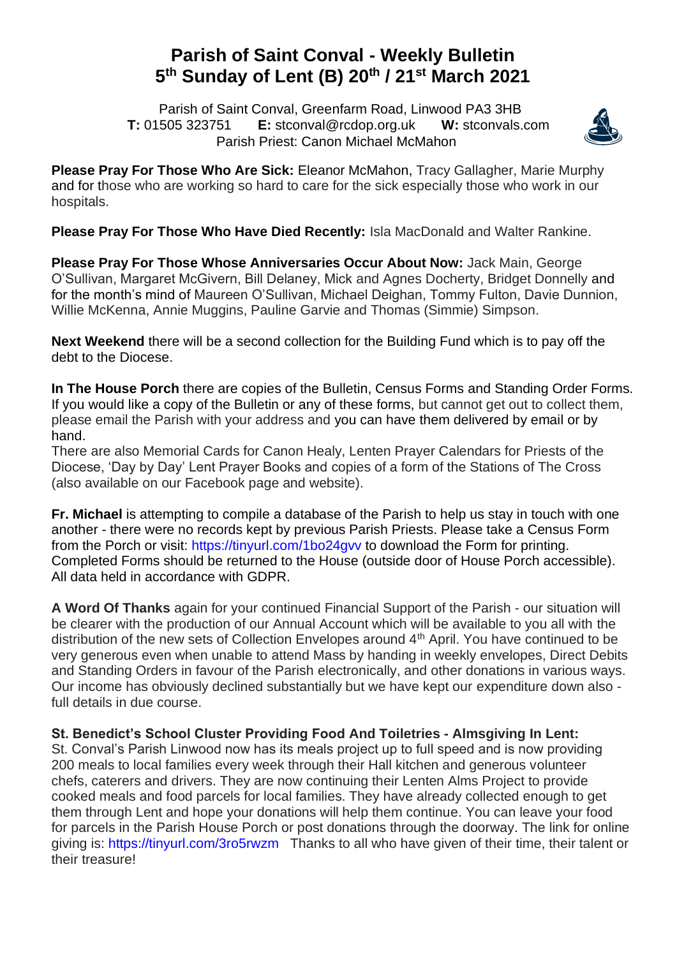## **Parish of Saint Conval - Weekly Bulletin 5 th Sunday of Lent (B) 20th / 21st March 2021**

 Parish of Saint Conval, Greenfarm Road, Linwood PA3 3HB **T:** 01505 323751 **E:** [stconval@rcdop.org.uk](mailto:stconval@rcdop.org.uk) **W:** stconvals.com Parish Priest: Canon Michael McMahon



**Please Pray For Those Who Are Sick:** Eleanor McMahon, Tracy Gallagher, Marie Murphy and for those who are working so hard to care for the sick especially those who work in our hospitals.

**Please Pray For Those Who Have Died Recently:** Isla MacDonald and Walter Rankine.

**Please Pray For Those Whose Anniversaries Occur About Now:** Jack Main, George O'Sullivan, Margaret McGivern, Bill Delaney, Mick and Agnes Docherty, Bridget Donnelly and for the month's mind of Maureen O'Sullivan, Michael Deighan, Tommy Fulton, Davie Dunnion, Willie McKenna, Annie Muggins, Pauline Garvie and Thomas (Simmie) Simpson.

**Next Weekend** there will be a second collection for the Building Fund which is to pay off the debt to the Diocese.

**In The House Porch** there are copies of the Bulletin, Census Forms and Standing Order Forms. If you would like a copy of the Bulletin or any of these forms, but cannot get out to collect them, please email the Parish with your address and you can have them delivered by email or by hand.

There are also Memorial Cards for Canon Healy, Lenten Prayer Calendars for Priests of the Diocese, 'Day by Day' Lent Prayer Books and copies of a form of the Stations of The Cross (also available on our Facebook page and website).

**Fr. Michael** is attempting to compile a database of the Parish to help us stay in touch with one another - there were no records kept by previous Parish Priests. Please take a Census Form from the Porch or visit:<https://tinyurl.com/1bo24gvv> to download the Form for printing. Completed Forms should be returned to the House (outside door of House Porch accessible). All data held in accordance with GDPR.

**A Word Of Thanks** again for your continued Financial Support of the Parish - our situation will be clearer with the production of our Annual Account which will be available to you all with the distribution of the new sets of Collection Envelopes around 4<sup>th</sup> April. You have continued to be very generous even when unable to attend Mass by handing in weekly envelopes, Direct Debits and Standing Orders in favour of the Parish electronically, and other donations in various ways. Our income has obviously declined substantially but we have kept our expenditure down also full details in due course.

## **St. Benedict's School Cluster Providing Food And Toiletries - Almsgiving In Lent:**

St. Conval's Parish Linwood now has its meals project up to full speed and is now providing 200 meals to local families every week through their Hall kitchen and generous volunteer chefs, caterers and drivers. They are now continuing their Lenten Alms Project to provide cooked meals and food parcels for local families. They have already collected enough to get them through Lent and hope your donations will help them continue. You can leave your food for parcels in the Parish House Porch or post donations through the doorway. The link for online giving is:<https://tinyurl.com/3ro5rwzm>Thanks to all who have given of their time, their talent or their treasure!